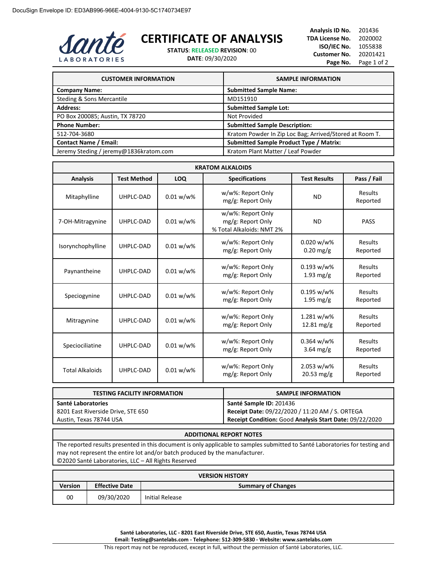

## **CERTIFICATE OF ANALYSIS**

**STATUS**: **RELEASED REVISION**: 00

**DATE**: 09/30/2020

**Analysis ID No.** 201436 **TDA License No.** 2020002 **ISO/IEC No.** 1055838 **Customer No.** 20201421 Page No. Page 1 of 2

| <b>CUSTOMER INFORMATION</b>            | <b>SAMPLE INFORMATION</b>                               |
|----------------------------------------|---------------------------------------------------------|
| <b>Company Name:</b>                   | <b>Submitted Sample Name:</b>                           |
| Steding & Sons Mercantile              | MD151910                                                |
| <b>Address:</b>                        | <b>Submitted Sample Lot:</b>                            |
| PO Box 200085; Austin, TX 78720        | Not Provided                                            |
| <b>Phone Number:</b>                   | <b>Submitted Sample Description:</b>                    |
| 512-704-3680                           | Kratom Powder In Zip Loc Bag; Arrived/Stored at Room T. |
| <b>Contact Name / Email:</b>           | <b>Submitted Sample Product Type / Matrix:</b>          |
| Jeremy Steding / jeremy@1836kratom.com | Kratom Plant Matter / Leaf Powder                       |

| <b>KRATOM ALKALOIDS</b> |                    |              |                                                                     |                                       |                     |
|-------------------------|--------------------|--------------|---------------------------------------------------------------------|---------------------------------------|---------------------|
| <b>Analysis</b>         | <b>Test Method</b> | LOQ          | <b>Specifications</b>                                               | <b>Test Results</b>                   | Pass / Fail         |
| Mitaphylline            | UHPLC-DAD          | $0.01 w/w$ % | w/w%: Report Only<br>mg/g: Report Only                              | <b>ND</b>                             | Results<br>Reported |
| 7-OH-Mitragynine        | UHPLC-DAD          | $0.01 w/w$ % | w/w%: Report Only<br>mg/g: Report Only<br>% Total Alkaloids: NMT 2% | <b>ND</b>                             | <b>PASS</b>         |
| Isorynchophylline       | UHPLC-DAD          | $0.01 w/w$ % | w/w%: Report Only<br>mg/g: Report Only                              | $0.020 w/w$ %<br>$0.20$ mg/g          | Results<br>Reported |
| Paynantheine            | UHPLC-DAD          | $0.01 w/w$ % | w/w%: Report Only<br>mg/g: Report Only                              | $0.193 w/w\%$<br>$1.93 \text{ mg/g}$  | Results<br>Reported |
| Speciogynine            | UHPLC-DAD          | $0.01 w/w$ % | w/w%: Report Only<br>mg/g: Report Only                              | $0.195 w/w$ %<br>$1.95$ mg/g          | Results<br>Reported |
| Mitragynine             | UHPLC-DAD          | $0.01 w/w$ % | w/w%: Report Only<br>mg/g: Report Only                              | 1.281 w/w%<br>$12.81 \,\mathrm{mg/g}$ | Results<br>Reported |
| Speciociliatine         | UHPLC-DAD          | $0.01 w/w$ % | w/w%: Report Only<br>mg/g: Report Only                              | $0.364 w/w\%$<br>$3.64 \text{ mg/g}$  | Results<br>Reported |
| <b>Total Alkaloids</b>  | UHPLC-DAD          | $0.01 w/w$ % | w/w%: Report Only<br>mg/g: Report Only                              | 2.053 w/w%<br>$20.53 \,\mathrm{mg/g}$ | Results<br>Reported |

| <b>TESTING FACILITY INFORMATION</b> | <b>SAMPLE INFORMATION</b>                               |
|-------------------------------------|---------------------------------------------------------|
| Santé Laboratories                  | Santé Sample ID: 201436                                 |
| 8201 East Riverside Drive, STE 650  | Receipt Date: 09/22/2020 / 11:20 AM / S. ORTEGA         |
| Austin, Texas 78744 USA             | Receipt Condition: Good Analysis Start Date: 09/22/2020 |

## **ADDITIONAL REPORT NOTES**

The reported results presented in this document is only applicable to samples submitted to Santé Laboratories for testing and may not represent the entire lot and/or batch produced by the manufacturer. ©2020 Santé Laboratories, LLC – All Rights Reserved

| <b>VERSION HISTORY</b> |                       |                           |  |  |
|------------------------|-----------------------|---------------------------|--|--|
| <b>Version</b>         | <b>Effective Date</b> | <b>Summary of Changes</b> |  |  |
| 00                     | 09/30/2020            | Initial Release           |  |  |

**Santé Laboratories, LLC - 8201 East Riverside Drive, STE 650, Austin, Texas 78744 USA Email: Testing@santelabs.com - Telephone: 512-309-5830 - Website: www.santelabs.com**